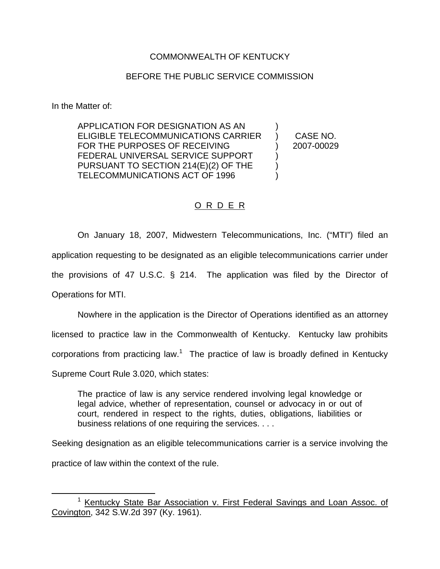## COMMONWEALTH OF KENTUCKY

## BEFORE THE PUBLIC SERVICE COMMISSION

In the Matter of:

APPLICATION FOR DESIGNATION AS AN ELIGIBLE TELECOMMUNICATIONS CARRIER FOR THE PURPOSES OF RECEIVING FEDERAL UNIVERSAL SERVICE SUPPORT PURSUANT TO SECTION 214(E)(2) OF THE TELECOMMUNICATIONS ACT OF 1996 ) ) ) )

) CASE NO. ) 2007-00029

## O R D E R

On January 18, 2007, Midwestern Telecommunications, Inc. ("MTI") filed an application requesting to be designated as an eligible telecommunications carrier under the provisions of 47 U.S.C. § 214. The application was filed by the Director of Operations for MTI.

Nowhere in the application is the Director of Operations identified as an attorney licensed to practice law in the Commonwealth of Kentucky. Kentucky law prohibits corporations from practicing law.<sup>1</sup> The practice of law is broadly defined in Kentucky Supreme Court Rule 3.020, which states:

The practice of law is any service rendered involving legal knowledge or legal advice, whether of representation, counsel or advocacy in or out of court, rendered in respect to the rights, duties, obligations, liabilities or business relations of one requiring the services. . . .

Seeking designation as an eligible telecommunications carrier is a service involving the practice of law within the context of the rule.

<sup>&</sup>lt;sup>1</sup> Kentucky State Bar Association v. First Federal Savings and Loan Assoc. of Covington, 342 S.W.2d 397 (Ky. 1961).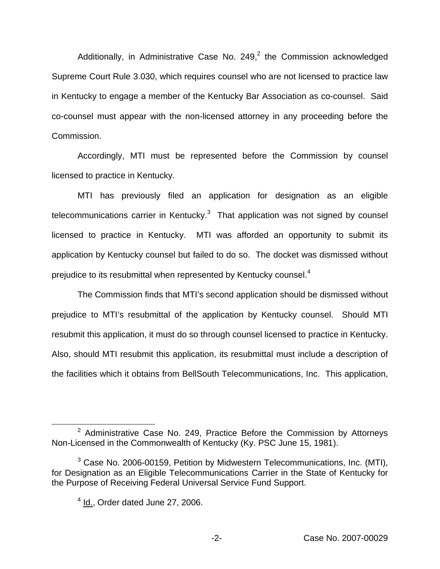Additionally, in Administrative Case No.  $249<sup>2</sup>$  the Commission acknowledged Supreme Court Rule 3.030, which requires counsel who are not licensed to practice law in Kentucky to engage a member of the Kentucky Bar Association as co-counsel. Said co-counsel must appear with the non-licensed attorney in any proceeding before the Commission.

Accordingly, MTI must be represented before the Commission by counsel licensed to practice in Kentucky.

MTI has previously filed an application for designation as an eligible telecommunications carrier in Kentucky. $3$  That application was not signed by counsel licensed to practice in Kentucky. MTI was afforded an opportunity to submit its application by Kentucky counsel but failed to do so. The docket was dismissed without prejudice to its resubmittal when represented by Kentucky counsel.<sup>4</sup>

The Commission finds that MTI's second application should be dismissed without prejudice to MTI's resubmittal of the application by Kentucky counsel. Should MTI resubmit this application, it must do so through counsel licensed to practice in Kentucky. Also, should MTI resubmit this application, its resubmittal must include a description of the facilities which it obtains from BellSouth Telecommunications, Inc. This application,

 $2$  Administrative Case No. 249, Practice Before the Commission by Attorneys Non-Licensed in the Commonwealth of Kentucky (Ky. PSC June 15, 1981).

 $3$  Case No. 2006-00159, Petition by Midwestern Telecommunications, Inc. (MTI), for Designation as an Eligible Telecommunications Carrier in the State of Kentucky for the Purpose of Receiving Federal Universal Service Fund Support.

 $<sup>4</sup>$  Id., Order dated June 27, 2006.</sup>